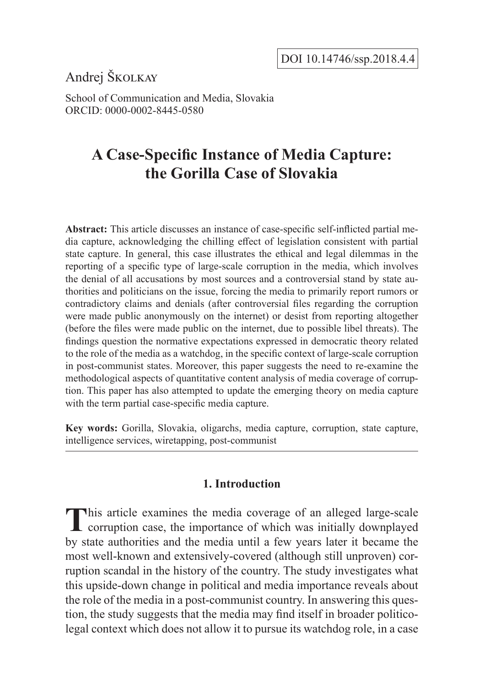Andrej Školkay

School of Communication and Media, Slovakia ORCID: 0000-0002-8445-0580

# **A Case-Specific Instance of Media Capture: the Gorilla Case of Slovakia**

**Abstract:** This article discusses an instance of case-specific self-inflicted partial media capture, acknowledging the chilling effect of legislation consistent with partial state capture. In general, this case illustrates the ethical and legal dilemmas in the reporting of a specific type of large-scale corruption in the media, which involves the denial of all accusations by most sources and a controversial stand by state authorities and politicians on the issue, forcing the media to primarily report rumors or contradictory claims and denials (after controversial files regarding the corruption were made public anonymously on the internet) or desist from reporting altogether (before the files were made public on the internet, due to possible libel threats). The findings question the normative expectations expressed in democratic theory related to the role of the media as a watchdog, in the specific context of large-scale corruption in post-communist states. Moreover, this paper suggests the need to re-examine the methodological aspects of quantitative content analysis of media coverage of corruption. This paper has also attempted to update the emerging theory on media capture with the term partial case-specific media capture.

**Key words:** Gorilla, Slovakia, oligarchs, media capture, corruption, state capture, intelligence services, wiretapping, post-communist

# **1. Introduction**

This article examines the media coverage of an alleged large-scale corruption case, the importance of which was initially downplayed by state authorities and the media until a few years later it became the most well-known and extensively-covered (although still unproven) corruption scandal in the history of the country. The study investigates what this upside-down change in political and media importance reveals about the role of the media in a post-communist country. In answering this question, the study suggests that the media may find itself in broader politicolegal context which does not allow it to pursue its watchdog role, in a case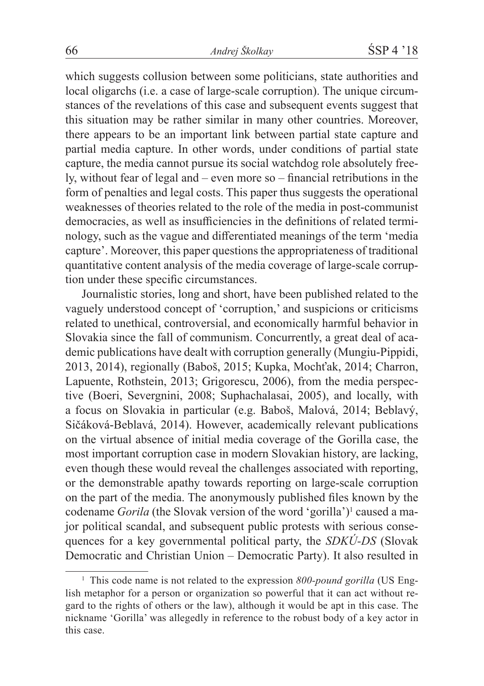which suggests collusion between some politicians, state authorities and local oligarchs (i.e. a case of large-scale corruption). The unique circumstances of the revelations of this case and subsequent events suggest that this situation may be rather similar in many other countries. Moreover, there appears to be an important link between partial state capture and partial media capture. In other words, under conditions of partial state capture, the media cannot pursue its social watchdog role absolutely freely, without fear of legal and – even more so – financial retributions in the form of penalties and legal costs. This paper thus suggests the operational weaknesses of theories related to the role of the media in post-communist democracies, as well as insufficiencies in the definitions of related terminology, such as the vague and differentiated meanings of the term 'media capture'. Moreover, this paper questions the appropriateness of traditional quantitative content analysis of the media coverage of large-scale corruption under these specific circumstances.

Journalistic stories, long and short, have been published related to the vaguely understood concept of 'corruption,' and suspicions or criticisms related to unethical, controversial, and economically harmful behavior in Slovakia since the fall of communism. Concurrently, a great deal of academic publications have dealt with corruption generally (Mungiu-Pippidi, 2013, 2014), regionally (Baboš, 2015; Kupka, Mochťak, 2014; Charron, Lapuente, Rothstein, 2013; Grigorescu, 2006), from the media perspective (Boeri, Severgnini, 2008; Suphachalasai, 2005), and locally, with a focus on Slovakia in particular (e.g. Baboš, Malová, 2014; Beblavý, Sičáková-Beblavá, 2014). However, academically relevant publications on the virtual absence of initial media coverage of the Gorilla case, the most important corruption case in modern Slovakian history, are lacking, even though these would reveal the challenges associated with reporting, or the demonstrable apathy towards reporting on large-scale corruption on the part of the media. The anonymously published files known by the codename *Gorila* (the Slovak version of the word 'gorilla')<sup>1</sup> caused a major political scandal, and subsequent public protests with serious consequences for a key governmental political party, the *SDKÚ-DS* (Slovak Democratic and Christian Union – Democratic Party). It also resulted in

<sup>&</sup>lt;sup>1</sup> This code name is not related to the expression 800-pound gorilla (US English metaphor for a person or organization so powerful that it can act without regard to the rights of others or the law), although it would be apt in this case. The nickname 'Gorilla' was allegedly in reference to the robust body of a key actor in this case.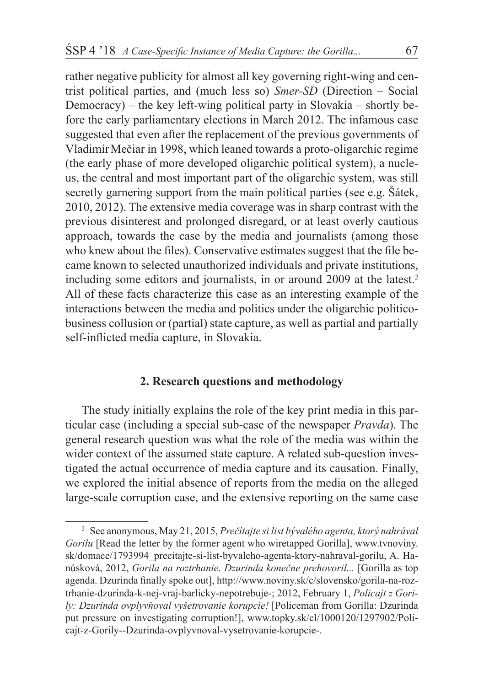rather negative publicity for almost all key governing right-wing and centrist political parties, and (much less so) *Smer-SD* (Direction – Social Democracy) – the key left-wing political party in Slovakia – shortly before the early parliamentary elections in March 2012. The infamous case suggested that even after the replacement of the previous governments of VladimírMečiar in 1998, which leaned towards a proto-oligarchic regime (the early phase of more developed oligarchic political system), a nucleus, the central and most important part of the oligarchic system, was still secretly garnering support from the main political parties (see e.g. Šátek, 2010, 2012). The extensive media coverage was in sharp contrast with the previous disinterest and prolonged disregard, or at least overly cautious approach, towards the case by the media and journalists (among those who knew about the files). Conservative estimates suggest that the file became known to selected unauthorized individuals and private institutions, including some editors and journalists, in or around 2009 at the latest.<sup>2</sup> All of these facts characterize this case as an interesting example of the interactions between the media and politics under the oligarchic politicobusiness collusion or (partial) state capture, as well as partial and partially self-inflicted media capture, in Slovakia.

# **2. Research questions and methodology**

The study initially explains the role of the key print media in this particular case (including a special sub-case of the newspaper *Pravda*). The general research question was what the role of the media was within the wider context of the assumed state capture. A related sub-question investigated the actual occurrence of media capture and its causation. Finally, we explored the initial absence of reports from the media on the alleged large-scale corruption case, and the extensive reporting on the same case

<sup>2</sup> See anonymous, May 21, 2015, *Prečítajte si list bývalého agenta, ktorý nahrával Gorilu* [Read the letter by the former agent who wiretapped Gorilla], www.tvnoviny. sk/domace/1793994\_precitajte-si-list-byvaleho-agenta-ktory-nahraval-gorilu, A. Hanúsková, 2012, *Gorila na roztrhanie. Dzurinda konečne prehovoril...* [Gorilla as top agenda. Dzurinda finally spoke out], http://www.noviny.sk/c/slovensko/gorila-na-roztrhanie-dzurinda-k-nej-vraj-barlicky-nepotrebuje-; 2012, February 1, *Policajt z Gorily: Dzurinda ovplyvňoval vyšetrovanie korupcie!* [Policeman from Gorilla: Dzurinda put pressure on investigating corruption!], www.topky.sk/cl/1000120/1297902/Policajt-z-Gorily--Dzurinda-ovplyvnoval-vysetrovanie-korupcie-.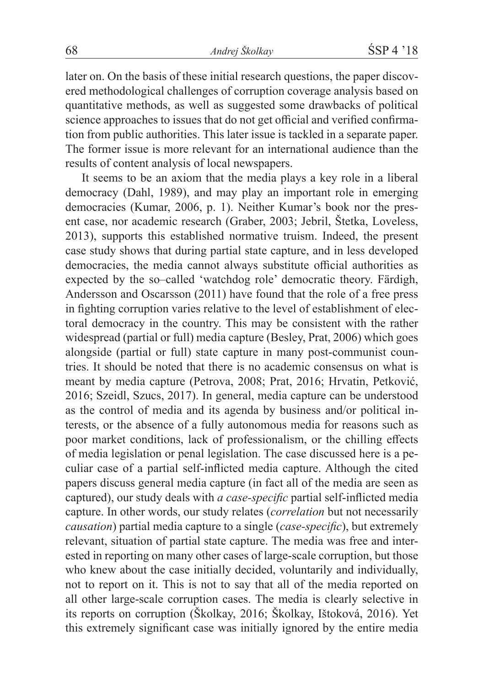later on. On the basis of these initial research questions, the paper discovered methodological challenges of corruption coverage analysis based on quantitative methods, as well as suggested some drawbacks of political science approaches to issues that do not get official and verified confirmation from public authorities. This later issue is tackled in a separate paper. The former issue is more relevant for an international audience than the results of content analysis of local newspapers.

It seems to be an axiom that the media plays a key role in a liberal democracy (Dahl, 1989), and may play an important role in emerging democracies (Kumar, 2006, p. 1). Neither Kumar's book nor the present case, nor academic research (Graber, 2003; Jebril, Štetka, Loveless, 2013), supports this established normative truism. Indeed, the present case study shows that during partial state capture, and in less developed democracies, the media cannot always substitute official authorities as expected by the so–called 'watchdog role' democratic theory. Färdigh, Andersson and Oscarsson (2011) have found that the role of a free press in fighting corruption varies relative to the level of establishment of electoral democracy in the country. This may be consistent with the rather widespread (partial or full) media capture (Besley, Prat, 2006) which goes alongside (partial or full) state capture in many post-communist countries. It should be noted that there is no academic consensus on what is meant by media capture (Petrova, 2008; Prat, 2016; Hrvatin, Petković, 2016; Szeidl, Szucs, 2017). In general, media capture can be understood as the control of media and its agenda by business and/or political interests, or the absence of a fully autonomous media for reasons such as poor market conditions, lack of professionalism, or the chilling effects of media legislation or penal legislation. The case discussed here is a peculiar case of a partial self-inflicted media capture. Although the cited papers discuss general media capture (in fact all of the media are seen as captured), our study deals with *a case-specific* partial self-inflicted media capture. In other words, our study relates (*correlation* but not necessarily *causation*) partial media capture to a single (*case-specific*), but extremely relevant, situation of partial state capture. The media was free and interested in reporting on many other cases of large-scale corruption, but those who knew about the case initially decided, voluntarily and individually, not to report on it. This is not to say that all of the media reported on all other large-scale corruption cases. The media is clearly selective in its reports on corruption (Školkay, 2016; Školkay, Ištoková, 2016). Yet this extremely significant case was initially ignored by the entire media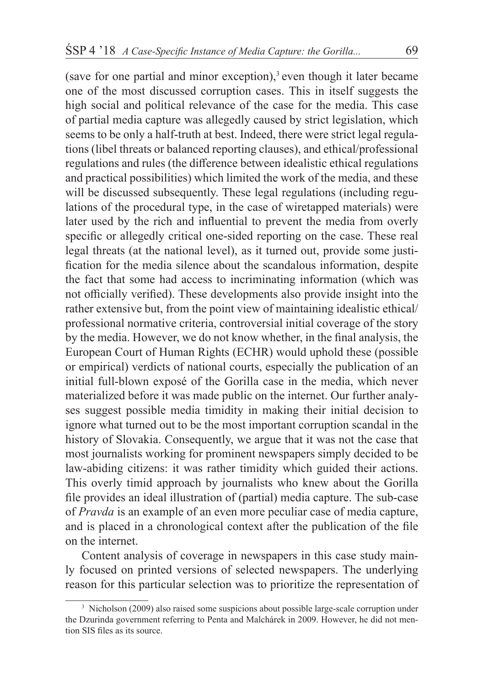(save for one partial and minor exception),<sup>3</sup> even though it later became one of the most discussed corruption cases. This in itself suggests the high social and political relevance of the case for the media. This case of partial media capture was allegedly caused by strict legislation, which seems to be only a half-truth at best. Indeed, there were strict legal regulations (libel threats or balanced reporting clauses), and ethical/professional regulations and rules (the difference between idealistic ethical regulations and practical possibilities) which limited the work of the media, and these will be discussed subsequently. These legal regulations (including regulations of the procedural type, in the case of wiretapped materials) were later used by the rich and influential to prevent the media from overly specific or allegedly critical one-sided reporting on the case. These real legal threats (at the national level), as it turned out, provide some justification for the media silence about the scandalous information, despite the fact that some had access to incriminating information (which was not officially verified). These developments also provide insight into the rather extensive but, from the point view of maintaining idealistic ethical/ professional normative criteria, controversial initial coverage of the story by the media. However, we do not know whether, in the final analysis, the European Court of Human Rights (ECHR) would uphold these (possible or empirical) verdicts of national courts, especially the publication of an initial full-blown exposé of the Gorilla case in the media, which never materialized before it was made public on the internet. Our further analyses suggest possible media timidity in making their initial decision to ignore what turned out to be the most important corruption scandal in the history of Slovakia. Consequently, we argue that it was not the case that most journalists working for prominent newspapers simply decided to be law-abiding citizens: it was rather timidity which guided their actions. This overly timid approach by journalists who knew about the Gorilla file provides an ideal illustration of (partial) media capture. The sub-case of *Pravda* is an example of an even more peculiar case of media capture, and is placed in a chronological context after the publication of the file on the internet.

Content analysis of coverage in newspapers in this case study mainly focused on printed versions of selected newspapers. The underlying reason for this particular selection was to prioritize the representation of

<sup>3</sup> Nicholson (2009) also raised some suspicions about possible large-scale corruption under the Dzurinda government referring to Penta and Malchárek in 2009. However, he did not mention SIS files as its source.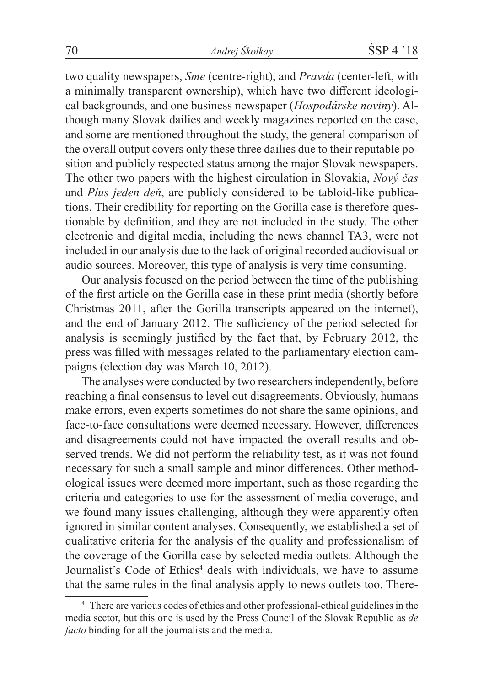two quality newspapers, *Sme* (centre-right), and *Pravda* (center-left, with a minimally transparent ownership), which have two different ideological backgrounds, and one business newspaper (*Hospodárske noviny*). Although many Slovak dailies and weekly magazines reported on the case, and some are mentioned throughout the study, the general comparison of the overall output covers only these three dailies due to their reputable position and publicly respected status among the major Slovak newspapers. The other two papers with the highest circulation in Slovakia, *Nový čas* and *Plus jeden deň*, are publicly considered to be tabloid-like publications. Their credibility for reporting on the Gorilla case is therefore questionable by definition, and they are not included in the study. The other electronic and digital media, including the news channel TA3, were not included in our analysis due to the lack of original recorded audiovisual or audio sources. Moreover, this type of analysis is very time consuming.

Our analysis focused on the period between the time of the publishing of the first article on the Gorilla case in these print media (shortly before Christmas 2011, after the Gorilla transcripts appeared on the internet), and the end of January 2012. The sufficiency of the period selected for analysis is seemingly justified by the fact that, by February 2012, the press was filled with messages related to the parliamentary election campaigns (election day was March 10, 2012).

The analyses were conducted by two researchers independently, before reaching a final consensus to level out disagreements. Obviously, humans make errors, even experts sometimes do not share the same opinions, and face-to-face consultations were deemed necessary. However, differences and disagreements could not have impacted the overall results and observed trends. We did not perform the reliability test, as it was not found necessary for such a small sample and minor differences. Other methodological issues were deemed more important, such as those regarding the criteria and categories to use for the assessment of media coverage, and we found many issues challenging, although they were apparently often ignored in similar content analyses. Consequently, we established a set of qualitative criteria for the analysis of the quality and professionalism of the coverage of the Gorilla case by selected media outlets. Although the Journalist's Code of Ethics<sup>4</sup> deals with individuals, we have to assume that the same rules in the final analysis apply to news outlets too. There-

<sup>4</sup> There are various codes of ethics and other professional-ethical guidelines in the media sector, but this one is used by the Press Council of the Slovak Republic as *de facto* binding for all the journalists and the media.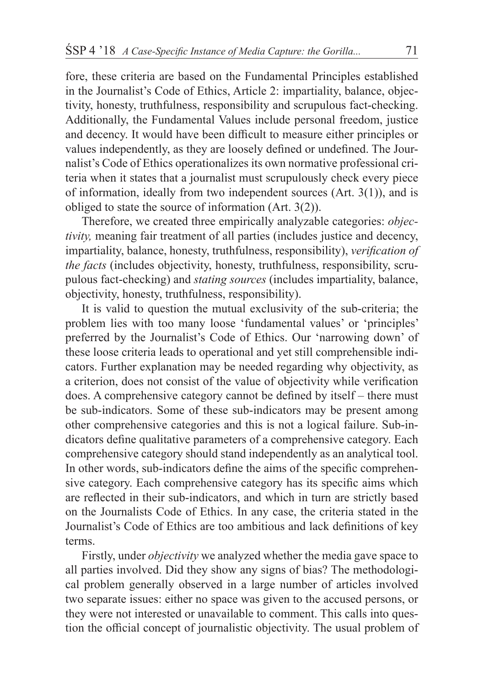fore, these criteria are based on the Fundamental Principles established in the Journalist's Code of Ethics, Article 2: impartiality, balance, objectivity, honesty, truthfulness, responsibility and scrupulous fact-checking. Additionally, the Fundamental Values include personal freedom, justice and decency. It would have been difficult to measure either principles or values independently, as they are loosely defined or undefined. The Journalist's Code of Ethics operationalizes its own normative professional criteria when it states that a journalist must scrupulously check every piece of information, ideally from two independent sources (Art. 3(1)), and is obliged to state the source of information (Art. 3(2)).

Therefore, we created three empirically analyzable categories: *objectivity,* meaning fair treatment of all parties (includes justice and decency, impartiality, balance, honesty, truthfulness, responsibility), *verification of the facts* (includes objectivity, honesty, truthfulness, responsibility, scrupulous fact-checking) and *stating sources* (includes impartiality, balance, objectivity, honesty, truthfulness, responsibility).

It is valid to question the mutual exclusivity of the sub-criteria; the problem lies with too many loose 'fundamental values' or 'principles' preferred by the Journalist's Code of Ethics. Our 'narrowing down' of these loose criteria leads to operational and yet still comprehensible indicators. Further explanation may be needed regarding why objectivity, as a criterion, does not consist of the value of objectivity while verification does. A comprehensive category cannot be defined by itself – there must be sub-indicators. Some of these sub-indicators may be present among other comprehensive categories and this is not a logical failure. Sub-indicators define qualitative parameters of a comprehensive category. Each comprehensive category should stand independently as an analytical tool. In other words, sub-indicators define the aims of the specific comprehensive category. Each comprehensive category has its specific aims which are reflected in their sub-indicators, and which in turn are strictly based on the Journalists Code of Ethics. In any case, the criteria stated in the Journalist's Code of Ethics are too ambitious and lack definitions of key terms.

Firstly, under *objectivity* we analyzed whether the media gave space to all parties involved. Did they show any signs of bias? The methodological problem generally observed in a large number of articles involved two separate issues: either no space was given to the accused persons, or they were not interested or unavailable to comment. This calls into question the official concept of journalistic objectivity. The usual problem of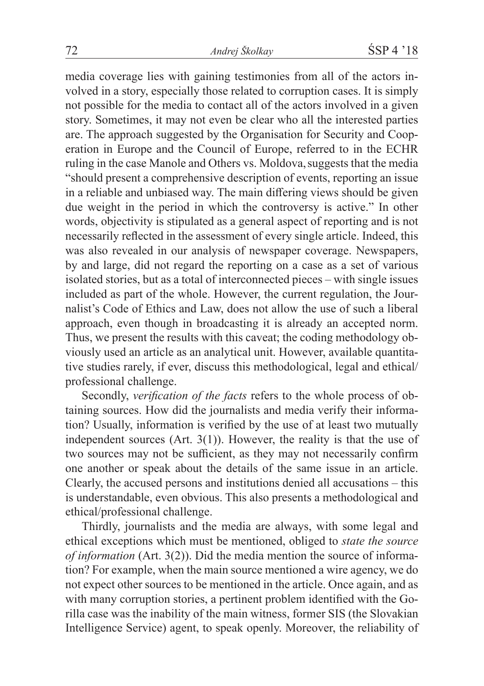media coverage lies with gaining testimonies from all of the actors involved in a story, especially those related to corruption cases. It is simply not possible for the media to contact all of the actors involved in a given story. Sometimes, it may not even be clear who all the interested parties are. The approach suggested by the Organisation for Security and Cooperation in Europe and the Council of Europe, referred to in the ECHR ruling in the case Manole and Others vs. Moldova,suggests that the media "should present a comprehensive description of events, reporting an issue in a reliable and unbiased way. The main differing views should be given due weight in the period in which the controversy is active." In other words, objectivity is stipulated as a general aspect of reporting and is not necessarily reflected in the assessment of every single article. Indeed, this was also revealed in our analysis of newspaper coverage. Newspapers, by and large, did not regard the reporting on a case as a set of various isolated stories, but as a total of interconnected pieces – with single issues included as part of the whole. However, the current regulation, the Journalist's Code of Ethics and Law, does not allow the use of such a liberal approach, even though in broadcasting it is already an accepted norm. Thus, we present the results with this caveat; the coding methodology obviously used an article as an analytical unit. However, available quantitative studies rarely, if ever, discuss this methodological, legal and ethical/ professional challenge.

Secondly, *verification of the facts* refers to the whole process of obtaining sources. How did the journalists and media verify their information? Usually, information is verified by the use of at least two mutually independent sources (Art. 3(1)). However, the reality is that the use of two sources may not be sufficient, as they may not necessarily confirm one another or speak about the details of the same issue in an article. Clearly, the accused persons and institutions denied all accusations – this is understandable, even obvious. This also presents a methodological and ethical/professional challenge.

Thirdly, journalists and the media are always, with some legal and ethical exceptions which must be mentioned, obliged to *state the source of information* (Art. 3(2)). Did the media mention the source of information? For example, when the main source mentioned a wire agency, we do not expect other sources to be mentioned in the article. Once again, and as with many corruption stories, a pertinent problem identified with the Gorilla case was the inability of the main witness, former SIS (the Slovakian Intelligence Service) agent, to speak openly. Moreover, the reliability of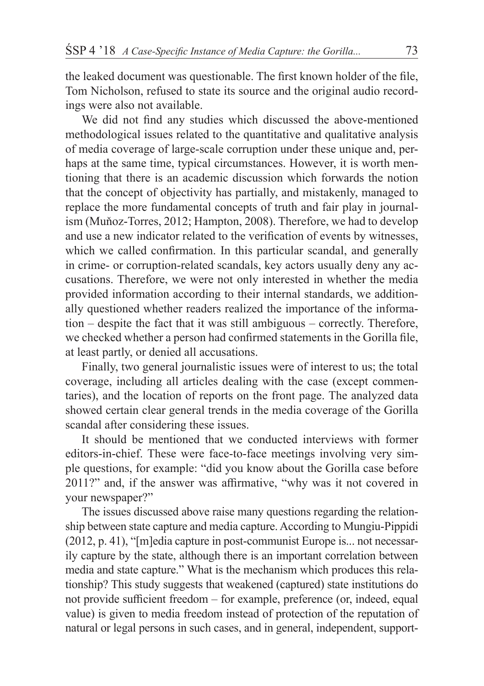the leaked document was questionable. The first known holder of the file, Tom Nicholson, refused to state its source and the original audio recordings were also not available.

We did not find any studies which discussed the above-mentioned methodological issues related to the quantitative and qualitative analysis of media coverage of large-scale corruption under these unique and, perhaps at the same time, typical circumstances. However, it is worth mentioning that there is an academic discussion which forwards the notion that the concept of objectivity has partially, and mistakenly, managed to replace the more fundamental concepts of truth and fair play in journalism (Muňoz-Torres, 2012; Hampton, 2008). Therefore, we had to develop and use a new indicator related to the verification of events by witnesses, which we called confirmation. In this particular scandal, and generally in crime- or corruption-related scandals, key actors usually deny any accusations. Therefore, we were not only interested in whether the media provided information according to their internal standards, we additionally questioned whether readers realized the importance of the information – despite the fact that it was still ambiguous – correctly. Therefore, we checked whether a person had confirmed statements in the Gorilla file, at least partly, or denied all accusations.

Finally, two general journalistic issues were of interest to us; the total coverage, including all articles dealing with the case (except commentaries), and the location of reports on the front page. The analyzed data showed certain clear general trends in the media coverage of the Gorilla scandal after considering these issues.

It should be mentioned that we conducted interviews with former editors-in-chief. These were face-to-face meetings involving very simple questions, for example: "did you know about the Gorilla case before 2011?" and, if the answer was affirmative, "why was it not covered in your newspaper?"

The issues discussed above raise many questions regarding the relationship between state capture and media capture. According to Mungiu-Pippidi (2012, p. 41), "[m]edia capture in post-communist Europe is... not necessarily capture by the state, although there is an important correlation between media and state capture." What is the mechanism which produces this relationship? This study suggests that weakened (captured) state institutions do not provide sufficient freedom – for example, preference (or, indeed, equal value) is given to media freedom instead of protection of the reputation of natural or legal persons in such cases, and in general, independent, support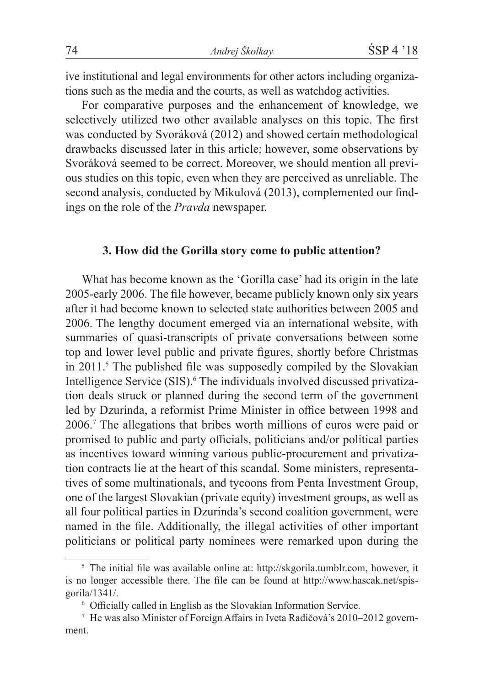ive institutional and legal environments for other actors including organizations such as the media and the courts, as well as watchdog activities.

For comparative purposes and the enhancement of knowledge, we selectively utilized two other available analyses on this topic. The first was conducted by Svoráková (2012) and showed certain methodological drawbacks discussed later in this article; however, some observations by Svoráková seemed to be correct. Moreover, we should mention all previous studies on this topic, even when they are perceived as unreliable. The second analysis, conducted by Mikulová (2013), complemented our findings on the role of the *Pravda* newspaper.

## **3. How did the Gorilla story come to public attention?**

What has become known as the 'Gorilla case' had its origin in the late 2005-early 2006. The file however, became publicly known only six years after it had become known to selected state authorities between 2005 and 2006. The lengthy document emerged via an international website, with summaries of quasi-transcripts of private conversations between some top and lower level public and private figures, shortly before Christmas in 2011.<sup>5</sup> The published file was supposedly compiled by the Slovakian Intelligence Service (SIS).<sup>6</sup> The individuals involved discussed privatization deals struck or planned during the second term of the government led by Dzurinda, a reformist Prime Minister in office between 1998 and 2006.7 The allegations that bribes worth millions of euros were paid or promised to public and party officials, politicians and/or political parties as incentives toward winning various public-procurement and privatization contracts lie at the heart of this scandal. Some ministers, representatives of some multinationals, and tycoons from Penta Investment Group, one of the largest Slovakian (private equity) investment groups, as well as all four political parties in Dzurinda's second coalition government, were named in the file. Additionally, the illegal activities of other important politicians or political party nominees were remarked upon during the

<sup>5</sup> The initial file was available online at: http://skgorila.tumblr.com, however, it is no longer accessible there. The file can be found at http://www.hascak.net/spisgorila/1341/.

<sup>6</sup> Officially called in English as the Slovakian Information Service.

<sup>7</sup> He was also Minister of Foreign Affairs in Iveta Radičová's 2010–2012 government.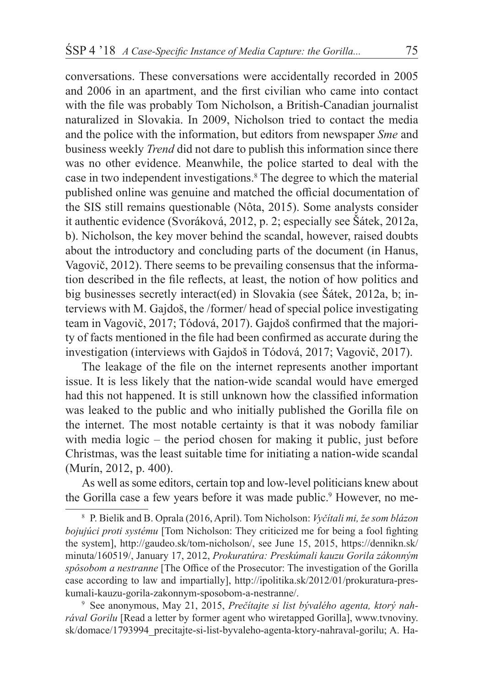conversations. These conversations were accidentally recorded in 2005 and 2006 in an apartment, and the first civilian who came into contact with the file was probably Tom Nicholson, a British-Canadian journalist naturalized in Slovakia. In 2009, Nicholson tried to contact the media and the police with the information, but editors from newspaper *Sme* and business weekly *Trend* did not dare to publish this information since there was no other evidence. Meanwhile, the police started to deal with the case in two independent investigations.8 The degree to which the material published online was genuine and matched the official documentation of the SIS still remains questionable (Nôta, 2015). Some analysts consider it authentic evidence (Svoráková, 2012, p. 2; especially see Šátek, 2012a, b). Nicholson, the key mover behind the scandal, however, raised doubts about the introductory and concluding parts of the document (in Hanus, Vagovič, 2012). There seems to be prevailing consensus that the information described in the file reflects, at least, the notion of how politics and big businesses secretly interact(ed) in Slovakia (see Šátek, 2012a, b; interviews with M. Gajdoš, the /former/ head of special police investigating team in Vagovič, 2017; Tódová, 2017). Gajdoš confirmed that the majority of facts mentioned in the file had been confirmed as accurate during the investigation (interviews with Gajdoš in Tódová, 2017; Vagovič, 2017).

The leakage of the file on the internet represents another important issue. It is less likely that the nation-wide scandal would have emerged had this not happened. It is still unknown how the classified information was leaked to the public and who initially published the Gorilla file on the internet. The most notable certainty is that it was nobody familiar with media logic – the period chosen for making it public, just before Christmas, was the least suitable time for initiating a nation-wide scandal (Murín, 2012, p. 400).

As well as some editors, certain top and low-level politicians knew about the Gorilla case a few years before it was made public.<sup>9</sup> However, no me-

<sup>8</sup> P. Bielik and B. Oprala (2016, April). Tom Nicholson: *Vyčítali mi, že som blázon bojujúci proti systému* [Tom Nicholson: They criticized me for being a fool fighting the system], http://gaudeo.sk/tom-nicholson/, see June 15, 2015, https://dennikn.sk/ minuta/160519/, January 17, 2012, *Prokuratúra: Preskúmali kauzu Gorila zákonným spôsobom a nestranne* [The Office of the Prosecutor: The investigation of the Gorilla case according to law and impartially], http://ipolitika.sk/2012/01/prokuratura-preskumali-kauzu-gorila-zakonnym-sposobom-a-nestranne/.

<sup>9</sup> See anonymous, May 21, 2015, *Prečítajte si list bývalého agenta, ktorý nahrával Gorilu* [Read a letter by former agent who wiretapped Gorilla], www.tvnoviny. sk/domace/1793994\_precitajte-si-list-byvaleho-agenta-ktory-nahraval-gorilu; A. Ha-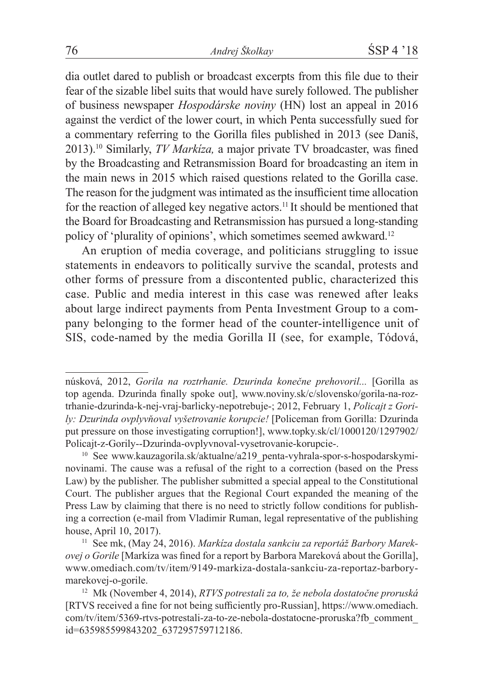dia outlet dared to publish or broadcast excerpts from this file due to their fear of the sizable libel suits that would have surely followed. The publisher of business newspaper *Hospodárske noviny* (HN) lost an appeal in 2016 against the verdict of the lower court, in which Penta successfully sued for a commentary referring to the Gorilla files published in 2013 (see Daniš, 2013).<sup>10</sup> Similarly, *TV Markíza,* a major private TV broadcaster, was fined by the Broadcasting and Retransmission Board for broadcasting an item in the main news in 2015 which raised questions related to the Gorilla case. The reason for the judgment was intimated as the insufficient time allocation for the reaction of alleged key negative actors.<sup>11</sup> It should be mentioned that the Board for Broadcasting and Retransmission has pursued a long-standing policy of 'plurality of opinions', which sometimes seemed awkward.<sup>12</sup>

An eruption of media coverage, and politicians struggling to issue statements in endeavors to politically survive the scandal, protests and other forms of pressure from a discontented public, characterized this case. Public and media interest in this case was renewed after leaks about large indirect payments from Penta Investment Group to a company belonging to the former head of the counter-intelligence unit of SIS, code-named by the media Gorilla II (see, for example, Tódová,

núsková, 2012, *Gorila na roztrhanie. Dzurinda konečne prehovoril...* [Gorilla as top agenda. Dzurinda finally spoke out], www.noviny.sk/c/slovensko/gorila-na-roztrhanie-dzurinda-k-nej-vraj-barlicky-nepotrebuje-; 2012, February 1, *Policajt z Gorily: Dzurinda ovplyvňoval vyšetrovanie korupcie!* [Policeman from Gorilla: Dzurinda put pressure on those investigating corruption!], www.topky.sk/cl/1000120/1297902/ Policajt-z-Gorily--Dzurinda-ovplyvnoval-vysetrovanie-korupcie-.

<sup>&</sup>lt;sup>10</sup> See www.kauzagorila.sk/aktualne/a219\_penta-vyhrala-spor-s-hospodarskyminovinami. The cause was a refusal of the right to a correction (based on the Press Law) by the publisher. The publisher submitted a special appeal to the Constitutional Court. The publisher argues that the Regional Court expanded the meaning of the Press Law by claiming that there is no need to strictly follow conditions for publishing a correction (e-mail from Vladimir Ruman, legal representative of the publishing house, April 10, 2017).

<sup>11</sup> See mk, (May 24, 2016). *Markíza dostala sankciu za reportáž Barbory Marekovej o Gorile* [Markíza was fined for a report by Barbora Mareková about the Gorilla], www.omediach.com/tv/item/9149-markiza-dostala-sankciu-za-reportaz-barborymarekovej-o-gorile.

<sup>12</sup> Mk (November 4, 2014), *RTVS potrestali za to, že nebola dostatočne proruská* [RTVS received a fine for not being sufficiently pro-Russian], https://www.omediach. com/tv/item/5369-rtvs-potrestali-za-to-ze-nebola-dostatocne-proruska?fb\_comment\_ id=635985599843202\_637295759712186.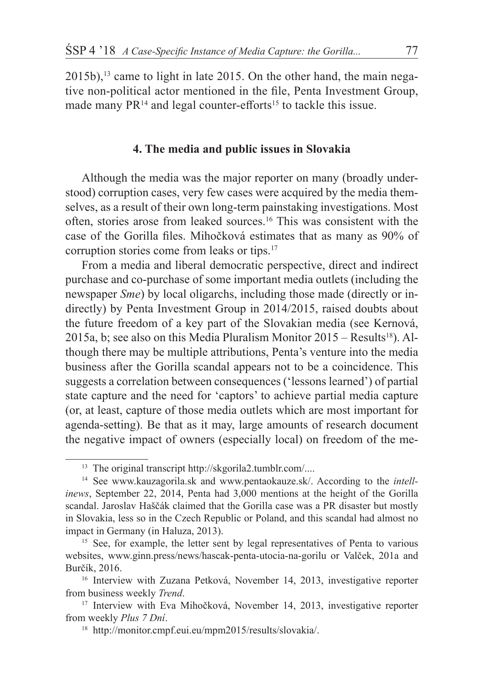$2015b$ ,<sup>13</sup> came to light in late 2015. On the other hand, the main negative non-political actor mentioned in the file, Penta Investment Group, made many PR<sup>14</sup> and legal counter-efforts<sup>15</sup> to tackle this issue.

## **4. The media and public issues in Slovakia**

Although the media was the major reporter on many (broadly understood) corruption cases, very few cases were acquired by the media themselves, as a result of their own long-term painstaking investigations. Most often, stories arose from leaked sources.16 This was consistent with the case of the Gorilla files. Mihočková estimates that as many as 90% of corruption stories come from leaks or tips.17

From a media and liberal democratic perspective, direct and indirect purchase and co-purchase of some important media outlets (including the newspaper *Sme*) by local oligarchs, including those made (directly or indirectly) by Penta Investment Group in 2014/2015, raised doubts about the future freedom of a key part of the Slovakian media (see Kernová, 2015a, b; see also on this Media Pluralism Monitor  $2015 - Results^{18}$ . Although there may be multiple attributions, Penta's venture into the media business after the Gorilla scandal appears not to be a coincidence. This suggests a correlation between consequences ('lessons learned') of partial state capture and the need for 'captors' to achieve partial media capture (or, at least, capture of those media outlets which are most important for agenda-setting). Be that as it may, large amounts of research document the negative impact of owners (especially local) on freedom of the me-

<sup>&</sup>lt;sup>13</sup> The original transcript http://skgorila2.tumblr.com/....

<sup>14</sup> See www.kauzagorila.sk and www.pentaokauze.sk/. According to the *intellinews*, September 22, 2014, Penta had 3,000 mentions at the height of the Gorilla scandal. Jaroslav Haščák claimed that the Gorilla case was a PR disaster but mostly in Slovakia, less so in the Czech Republic or Poland, and this scandal had almost no impact in Germany (in Haluza, 2013).

<sup>&</sup>lt;sup>15</sup> See, for example, the letter sent by legal representatives of Penta to various websites, www.ginn.press/news/hascak-penta-utocia-na-gorilu or Valček, 201a and Burčík, 2016.

<sup>&</sup>lt;sup>16</sup> Interview with Zuzana Petková, November 14, 2013, investigative reporter from business weekly *Trend*.

<sup>&</sup>lt;sup>17</sup> Interview with Eva Mihočková, November 14, 2013, investigative reporter from weekly *Plus 7 Dní*.

<sup>18</sup> http://monitor.cmpf.eui.eu/mpm2015/results/slovakia/.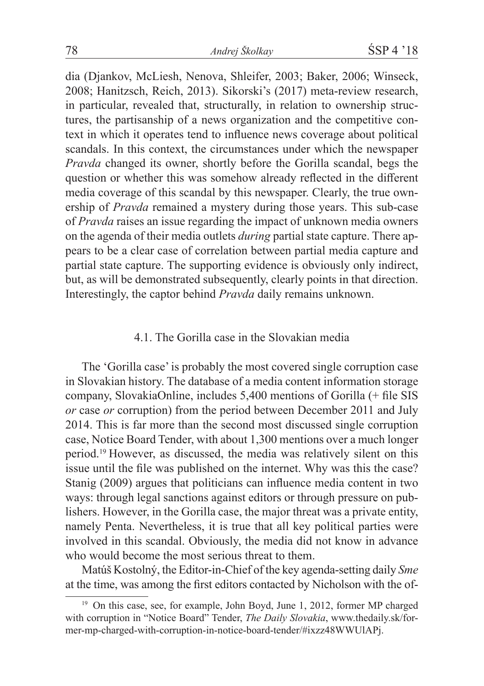dia (Djankov, McLiesh, Nenova, Shleifer, 2003; Baker, 2006; Winseck, 2008; Hanitzsch, Reich, 2013). Sikorski's (2017) meta-review research, in particular, revealed that, structurally, in relation to ownership structures, the partisanship of a news organization and the competitive context in which it operates tend to influence news coverage about political scandals. In this context, the circumstances under which the newspaper *Pravda* changed its owner, shortly before the Gorilla scandal, begs the question or whether this was somehow already reflected in the different media coverage of this scandal by this newspaper. Clearly, the true ownership of *Pravda* remained a mystery during those years. This sub-case of *Pravda* raises an issue regarding the impact of unknown media owners on the agenda of their media outlets *during* partial state capture. There appears to be a clear case of correlation between partial media capture and partial state capture. The supporting evidence is obviously only indirect, but, as will be demonstrated subsequently, clearly points in that direction. Interestingly, the captor behind *Pravda* daily remains unknown.

## 4.1. The Gorilla case in the Slovakian media

The 'Gorilla case' is probably the most covered single corruption case in Slovakian history. The database of a media content information storage company, SlovakiaOnline, includes 5,400 mentions of Gorilla (+ file SIS *or* case *or* corruption) from the period between December 2011 and July 2014. This is far more than the second most discussed single corruption case, Notice Board Tender, with about 1,300 mentions over a much longer period.19 However, as discussed, the media was relatively silent on this issue until the file was published on the internet. Why was this the case? Stanig (2009) argues that politicians can influence media content in two ways: through legal sanctions against editors or through pressure on publishers. However, in the Gorilla case, the major threat was a private entity, namely Penta. Nevertheless, it is true that all key political parties were involved in this scandal. Obviously, the media did not know in advance who would become the most serious threat to them.

Matúš Kostolný, the Editor-in-Chief of the key agenda-setting daily *Sme*  at the time, was among the first editors contacted by Nicholson with the of-

<sup>&</sup>lt;sup>19</sup> On this case, see, for example, John Boyd, June 1, 2012, former MP charged with corruption in "Notice Board" Tender, *The Daily Slovakia*, www.thedaily.sk/former-mp-charged-with-corruption-in-notice-board-tender/#ixzz48WWUlAPj.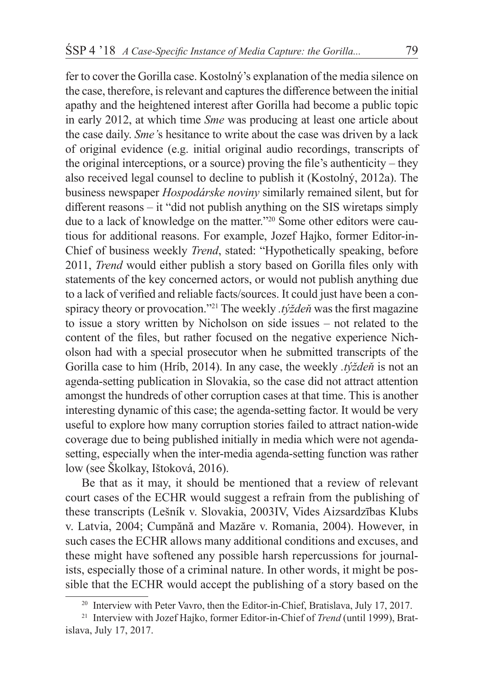fer to cover the Gorilla case. Kostolný's explanation of the media silence on the case, therefore, is relevant and captures the difference between the initial apathy and the heightened interest after Gorilla had become a public topic in early 2012, at which time *Sme* was producing at least one article about the case daily. *Sme'*s hesitance to write about the case was driven by a lack of original evidence (e.g. initial original audio recordings, transcripts of the original interceptions, or a source) proving the file's authenticity – they also received legal counsel to decline to publish it (Kostolný, 2012a). The business newspaper *Hospodárske noviny* similarly remained silent, but for different reasons – it "did not publish anything on the SIS wiretaps simply due to a lack of knowledge on the matter."20 Some other editors were cautious for additional reasons. For example, Jozef Hajko, former Editor-in-Chief of business weekly *Trend*, stated: "Hypothetically speaking, before 2011, *Trend* would either publish a story based on Gorilla files only with statements of the key concerned actors, or would not publish anything due to a lack of verified and reliable facts/sources. It could just have been a conspiracy theory or provocation."<sup>21</sup> The weekly *.týždeň* was the first magazine to issue a story written by Nicholson on side issues – not related to the content of the files, but rather focused on the negative experience Nicholson had with a special prosecutor when he submitted transcripts of the Gorilla case to him (Hríb, 2014). In any case, the weekly *.týždeň* is not an agenda-setting publication in Slovakia, so the case did not attract attention amongst the hundreds of other corruption cases at that time. This is another interesting dynamic of this case; the agenda-setting factor. It would be very useful to explore how many corruption stories failed to attract nation-wide coverage due to being published initially in media which were not agendasetting, especially when the inter-media agenda-setting function was rather low (see Školkay, Ištoková, 2016).

Be that as it may, it should be mentioned that a review of relevant court cases of the ECHR would suggest a refrain from the publishing of these transcripts (Lešník v. Slovakia, 2003IV, Vides Aizsardzības Klubs v. Latvia, 2004; Cumpănă and Mazăre v. Romania, 2004). However, in such cases the ECHR allows many additional conditions and excuses, and these might have softened any possible harsh repercussions for journalists, especially those of a criminal nature. In other words, it might be possible that the ECHR would accept the publishing of a story based on the

<sup>&</sup>lt;sup>20</sup> Interview with Peter Vavro, then the Editor-in-Chief, Bratislava, July 17, 2017.

<sup>21</sup> Interview with Jozef Hajko, former Editor-in-Chief of *Trend* (until 1999), Bratislava, July 17, 2017.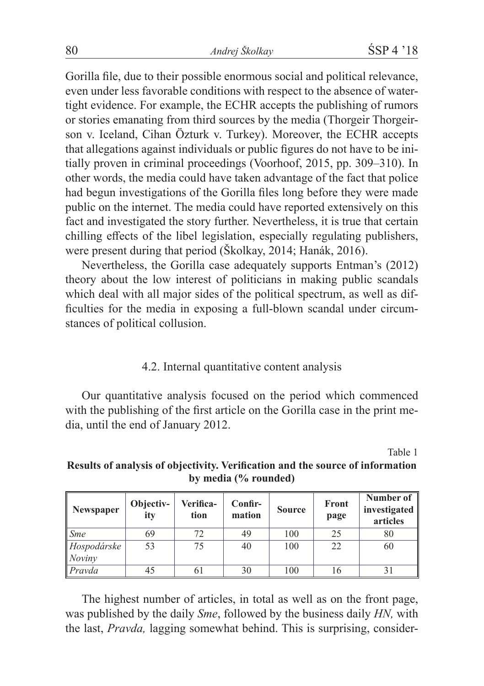Gorilla file, due to their possible enormous social and political relevance, even under less favorable conditions with respect to the absence of watertight evidence. For example, the ECHR accepts the publishing of rumors or stories emanating from third sources by the media (Thorgeir Thorgeirson v. Iceland, Cihan Özturk v. Turkey). Moreover, the ECHR accepts that allegations against individuals or public figures do not have to be initially proven in criminal proceedings (Voorhoof, 2015, pp. 309–310). In other words, the media could have taken advantage of the fact that police had begun investigations of the Gorilla files long before they were made public on the internet. The media could have reported extensively on this fact and investigated the story further. Nevertheless, it is true that certain chilling effects of the libel legislation, especially regulating publishers, were present during that period (Školkay, 2014; Hanák, 2016).

Nevertheless, the Gorilla case adequately supports Entman's (2012) theory about the low interest of politicians in making public scandals which deal with all major sides of the political spectrum, as well as difficulties for the media in exposing a full-blown scandal under circumstances of political collusion.

# 4.2. Internal quantitative content analysis

Our quantitative analysis focused on the period which commenced with the publishing of the first article on the Gorilla case in the print media, until the end of January 2012.

Table 1

#### **by media (% rounded) Verifica-Confir-Number of**

**Results of analysis of objectivity. Verification and the source of information** 

| Newspaper                        | Objectiv-<br>ity | Verifica-<br>tion | Confir-<br>mation | <b>Source</b> | Front<br>page | Number of<br>investigated<br>articles |
|----------------------------------|------------------|-------------------|-------------------|---------------|---------------|---------------------------------------|
| $\mathsf{S}$ <i>me</i>           | 69               | 72                | 49                | 100           | 25            | 80                                    |
| Hospodárske<br>$\sqrt{N}$ Noviny | 53               | 75                | 40                | 100           | 22            | 60                                    |
| Pravda                           | 45               | 61                | 30                | 100           | 16            |                                       |

The highest number of articles, in total as well as on the front page, was published by the daily *Sme*, followed by the business daily *HN,* with the last, *Pravda,* lagging somewhat behind. This is surprising, consider-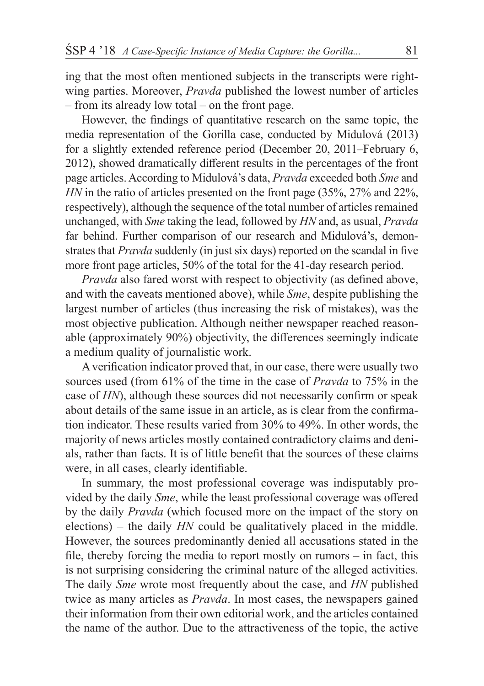ing that the most often mentioned subjects in the transcripts were rightwing parties. Moreover, *Pravda* published the lowest number of articles – from its already low total – on the front page.

However, the findings of quantitative research on the same topic, the media representation of the Gorilla case, conducted by Midulová (2013) for a slightly extended reference period (December 20, 2011–February 6, 2012), showed dramatically different results in the percentages of the front page articles. According to Midulová's data, *Pravda* exceeded both *Sme* and *HN* in the ratio of articles presented on the front page (35%, 27% and 22%, respectively), although the sequence of the total number of articles remained unchanged, with *Sme* taking the lead, followed by *HN* and, as usual, *Pravda*  far behind. Further comparison of our research and Midulová's, demonstrates that *Pravda* suddenly (in just six days) reported on the scandal in five more front page articles, 50% of the total for the 41-day research period.

*Pravda* also fared worst with respect to objectivity (as defined above, and with the caveats mentioned above), while *Sme*, despite publishing the largest number of articles (thus increasing the risk of mistakes), was the most objective publication. Although neither newspaper reached reasonable (approximately 90%) objectivity, the differences seemingly indicate a medium quality of journalistic work.

A verification indicator proved that, in our case, there were usually two sources used (from 61% of the time in the case of *Pravda* to 75% in the case of *HN*), although these sources did not necessarily confirm or speak about details of the same issue in an article, as is clear from the confirmation indicator. These results varied from 30% to 49%. In other words, the majority of news articles mostly contained contradictory claims and denials, rather than facts. It is of little benefit that the sources of these claims were, in all cases, clearly identifiable.

In summary, the most professional coverage was indisputably provided by the daily *Sme*, while the least professional coverage was offered by the daily *Pravda* (which focused more on the impact of the story on elections) – the daily *HN* could be qualitatively placed in the middle. However, the sources predominantly denied all accusations stated in the file, thereby forcing the media to report mostly on rumors – in fact, this is not surprising considering the criminal nature of the alleged activities. The daily *Sme* wrote most frequently about the case, and *HN* published twice as many articles as *Pravda*. In most cases, the newspapers gained their information from their own editorial work, and the articles contained the name of the author. Due to the attractiveness of the topic, the active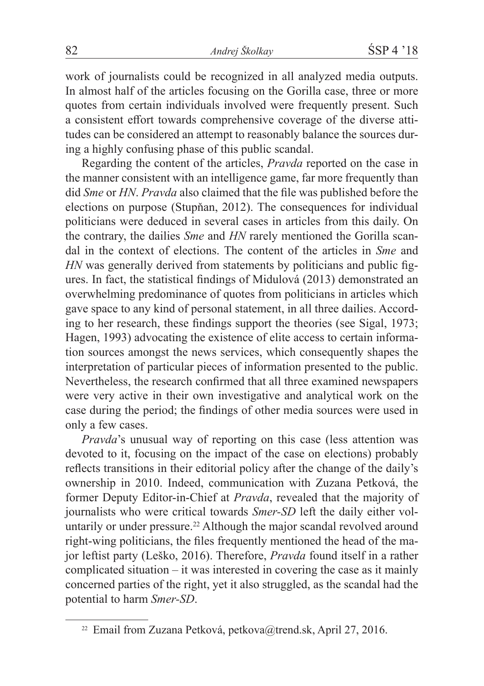work of journalists could be recognized in all analyzed media outputs. In almost half of the articles focusing on the Gorilla case, three or more quotes from certain individuals involved were frequently present. Such a consistent effort towards comprehensive coverage of the diverse attitudes can be considered an attempt to reasonably balance the sources during a highly confusing phase of this public scandal.

Regarding the content of the articles, *Pravda* reported on the case in the manner consistent with an intelligence game, far more frequently than did *Sme* or *HN*. *Pravda* also claimed that the file was published before the elections on purpose (Stupňan, 2012). The consequences for individual politicians were deduced in several cases in articles from this daily. On the contrary, the dailies *Sme* and *HN* rarely mentioned the Gorilla scandal in the context of elections. The content of the articles in *Sme* and *HN* was generally derived from statements by politicians and public figures. In fact, the statistical findings of Midulová (2013) demonstrated an overwhelming predominance of quotes from politicians in articles which gave space to any kind of personal statement, in all three dailies. According to her research, these findings support the theories (see Sigal, 1973; Hagen, 1993) advocating the existence of elite access to certain information sources amongst the news services, which consequently shapes the interpretation of particular pieces of information presented to the public. Nevertheless, the research confirmed that all three examined newspapers were very active in their own investigative and analytical work on the case during the period; the findings of other media sources were used in only a few cases.

*Pravda*'s unusual way of reporting on this case (less attention was devoted to it, focusing on the impact of the case on elections) probably reflects transitions in their editorial policy after the change of the daily's ownership in 2010. Indeed, communication with Zuzana Petková, the former Deputy Editor-in-Chief at *Pravda*, revealed that the majority of journalists who were critical towards *Smer-SD* left the daily either voluntarily or under pressure.<sup>22</sup> Although the major scandal revolved around right-wing politicians, the files frequently mentioned the head of the major leftist party (Leško, 2016). Therefore, *Pravda* found itself in a rather complicated situation – it was interested in covering the case as it mainly concerned parties of the right, yet it also struggled, as the scandal had the potential to harm *Smer-SD*.

<sup>22</sup> Email from Zuzana Petková, petkova@trend.sk, April 27, 2016.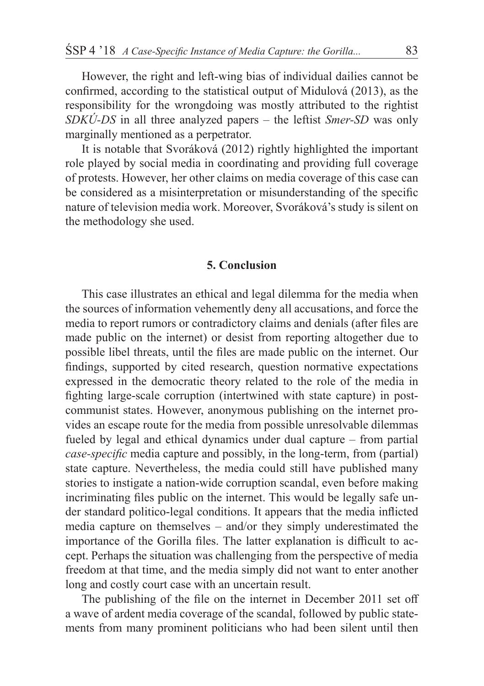However, the right and left-wing bias of individual dailies cannot be confirmed, according to the statistical output of Midulová (2013), as the responsibility for the wrongdoing was mostly attributed to the rightist *SDKÚ-DS* in all three analyzed papers – the leftist *Smer-SD* was only marginally mentioned as a perpetrator.

It is notable that Svoráková (2012) rightly highlighted the important role played by social media in coordinating and providing full coverage of protests. However, her other claims on media coverage of this case can be considered as a misinterpretation or misunderstanding of the specific nature of television media work. Moreover, Svoráková's study is silent on the methodology she used.

#### **5. Conclusion**

This case illustrates an ethical and legal dilemma for the media when the sources of information vehemently deny all accusations, and force the media to report rumors or contradictory claims and denials (after files are made public on the internet) or desist from reporting altogether due to possible libel threats, until the files are made public on the internet. Our findings, supported by cited research, question normative expectations expressed in the democratic theory related to the role of the media in fighting large-scale corruption (intertwined with state capture) in postcommunist states. However, anonymous publishing on the internet provides an escape route for the media from possible unresolvable dilemmas fueled by legal and ethical dynamics under dual capture – from partial *case-specific* media capture and possibly, in the long-term, from (partial) state capture. Nevertheless, the media could still have published many stories to instigate a nation-wide corruption scandal, even before making incriminating files public on the internet. This would be legally safe under standard politico-legal conditions. It appears that the media inflicted media capture on themselves – and/or they simply underestimated the importance of the Gorilla files. The latter explanation is difficult to accept. Perhaps the situation was challenging from the perspective of media freedom at that time, and the media simply did not want to enter another long and costly court case with an uncertain result.

The publishing of the file on the internet in December 2011 set off a wave of ardent media coverage of the scandal, followed by public statements from many prominent politicians who had been silent until then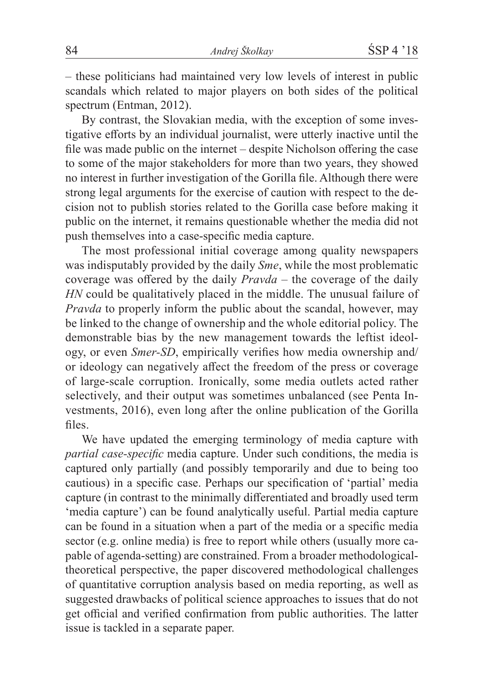– these politicians had maintained very low levels of interest in public scandals which related to major players on both sides of the political spectrum (Entman, 2012).

By contrast, the Slovakian media, with the exception of some investigative efforts by an individual journalist, were utterly inactive until the file was made public on the internet – despite Nicholson offering the case to some of the major stakeholders for more than two years, they showed no interest in further investigation of the Gorilla file. Although there were strong legal arguments for the exercise of caution with respect to the decision not to publish stories related to the Gorilla case before making it public on the internet, it remains questionable whether the media did not push themselves into a case-specific media capture.

The most professional initial coverage among quality newspapers was indisputably provided by the daily *Sme*, while the most problematic coverage was offered by the daily *Pravda –* the coverage of the daily *HN* could be qualitatively placed in the middle. The unusual failure of *Pravda* to properly inform the public about the scandal, however, may be linked to the change of ownership and the whole editorial policy. The demonstrable bias by the new management towards the leftist ideology, or even *Smer-SD*, empirically verifies how media ownership and/ or ideology can negatively affect the freedom of the press or coverage of large-scale corruption. Ironically, some media outlets acted rather selectively, and their output was sometimes unbalanced (see Penta Investments, 2016), even long after the online publication of the Gorilla files.

We have updated the emerging terminology of media capture with *partial case-specific* media capture. Under such conditions, the media is captured only partially (and possibly temporarily and due to being too cautious) in a specific case. Perhaps our specification of 'partial' media capture (in contrast to the minimally differentiated and broadly used term 'media capture') can be found analytically useful. Partial media capture can be found in a situation when a part of the media or a specific media sector (e.g. online media) is free to report while others (usually more capable of agenda-setting) are constrained. From a broader methodologicaltheoretical perspective, the paper discovered methodological challenges of quantitative corruption analysis based on media reporting, as well as suggested drawbacks of political science approaches to issues that do not get official and verified confirmation from public authorities. The latter issue is tackled in a separate paper.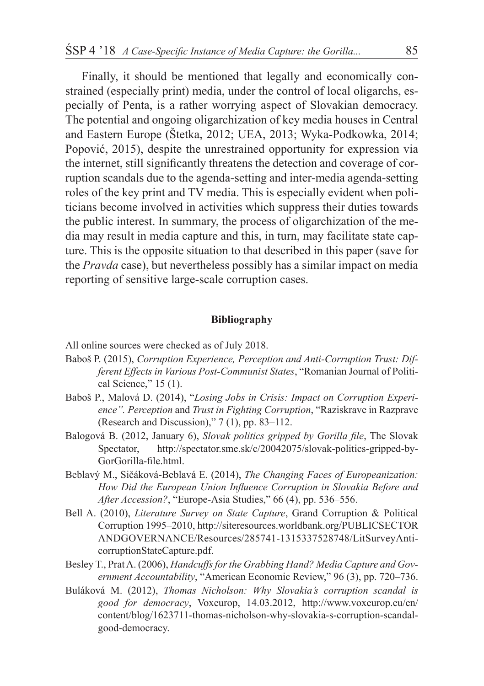Finally, it should be mentioned that legally and economically constrained (especially print) media, under the control of local oligarchs, especially of Penta, is a rather worrying aspect of Slovakian democracy. The potential and ongoing oligarchization of key media houses in Central and Eastern Europe (Štetka, 2012; UEA, 2013; Wyka-Podkowka, 2014; Popović, 2015), despite the unrestrained opportunity for expression via the internet, still significantly threatens the detection and coverage of corruption scandals due to the agenda-setting and inter-media agenda-setting roles of the key print and TV media. This is especially evident when politicians become involved in activities which suppress their duties towards the public interest. In summary, the process of oligarchization of the media may result in media capture and this, in turn, may facilitate state capture. This is the opposite situation to that described in this paper (save for the *Pravda* case), but nevertheless possibly has a similar impact on media reporting of sensitive large-scale corruption cases.

#### **Bibliography**

All online sources were checked as of July 2018.

- Baboš P. (2015), *Corruption Experience, Perception and Anti-Corruption Trust: Different Effects in Various Post-Communist States*, "Romanian Journal of Political Science," 15 (1).
- Baboš P., Malová D. (2014), "*Losing Jobs in Crisis: Impact on Corruption Experience". Perception* and *Trust in Fighting Corruption*, "Raziskrave in Razprave (Research and Discussion)," 7 (1), pp. 83–112.
- Balogová B. (2012, January 6), *Slovak politics gripped by Gorilla file*, The Slovak Spectator, http://spectator.sme.sk/c/20042075/slovak-politics-gripped-by-GorGorilla-file.html.
- Beblavý M., Sičáková-Beblavá E. (2014), *The Changing Faces of Europeanization: How Did the European Union Influence Corruption in Slovakia Before and After Accession?*, "Europe-Asia Studies," 66 (4), pp. 536–556.
- Bell A. (2010), *Literature Survey on State Capture*, Grand Corruption & Political Corruption 1995–2010, http://siteresources.worldbank.org/PUBLICSECTOR ANDGOVERNANCE/Resources/285741-1315337528748/LitSurveyAnticorruptionStateCapture.pdf.
- Besley T., Prat A. (2006), *Handcuffs for the Grabbing Hand? Media Capture and Government Accountability*, "American Economic Review," 96 (3), pp. 720–736.
- Buláková M. (2012), *Thomas Nicholson: Why Slovakia's corruption scandal is good for democracy*, Voxeurop, 14.03.2012, http://www.voxeurop.eu/en/ content/blog/1623711-thomas-nicholson-why-slovakia-s-corruption-scandalgood-democracy.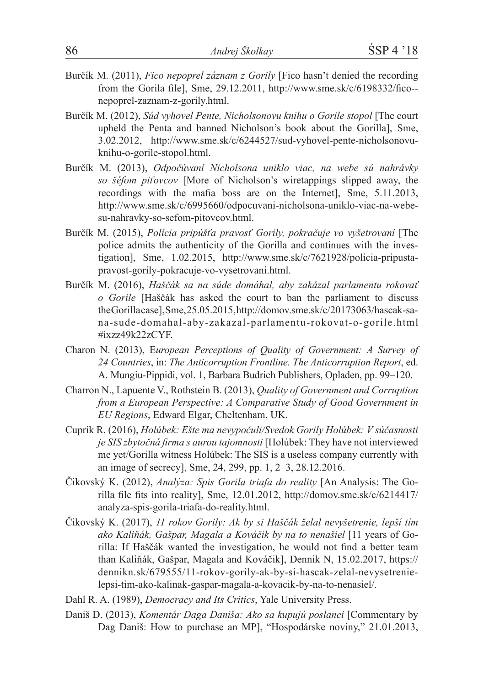- Burčík M. (2011), *Fico nepoprel záznam z Gorily* [Fico hasn't denied the recording from the Gorila file], Sme, 29.12.2011, http://www.sme.sk/c/6198332/fico- nepoprel-zaznam-z-gorily.html.
- Burčík M. (2012), *Súd vyhovel Pente, Nicholsonovu knihu o Gorile stopol* [The court upheld the Penta and banned Nicholson's book about the Gorilla], Sme, 3.02.2012, http://www.sme.sk/c/6244527/sud-vyhovel-pente-nicholsonovuknihu-o-gorile-stopol.html.
- Burčík M. (2013), *Odpočúvaní Nicholsona uniklo viac, na webe sú nahrávky so šéfom piťovcov* [More of Nicholson's wiretappings slipped away, the recordings with the mafia boss are on the Internet], Sme, 5.11.2013, http://www.sme.sk/c/6995660/odpocuvani-nicholsona-uniklo-viac-na-webesu-nahravky-so-sefom-pitovcov.html.
- Burčík M. (2015), *Polícia pripúšťa pravosť Gorily, pokračuje vo vyšetrovaní* [The police admits the authenticity of the Gorilla and continues with the investigation], Sme, 1.02.2015, http://www.sme.sk/c/7621928/policia-pripustapravost-gorily-pokracuje-vo-vysetrovani.html.
- Burčík M. (2016), *Haščák sa na súde domáhal, aby zakázal parlamentu rokovať o Gorile* [Haščák has asked the court to ban the parliament to discuss the Gorilla case], Sme, 25.05.2015, http://domov.sme.sk/c/20173063/hascak-sana-sude-domahal-aby-zakazal-parlamentu-rokovat-o-gorile.html #ixzz49k22zCYF.
- Charon N. (2013), E*uropean Perceptions of Quality of Government: A Survey of 24 Countries*, in: *The Anticorruption Frontline. The Anticorruption Report*, ed. A. Mungiu-Pippidi, vol. 1, Barbara Budrich Publishers, Opladen, pp. 99–120.
- Charron N., Lapuente V., Rothstein B. (2013), *Quality of Government and Corruption from a European Perspective: A Comparative Study of Good Government in EU Regions*, Edward Elgar, Cheltenham, UK.
- Cuprík R. (2016), *Holúbek: Ešte ma nevypočuli/Svedok Gorily Holúbek: V súčasnosti je SIS zbytočná firma s aurou tajomnosti* [Holúbek: They have not interviewed me yet/Gorilla witness Holúbek: The SIS is a useless company currently with an image of secrecy], Sme, 24, 299, pp. 1, 2–3, 28.12.2016.
- Čikovský K. (2012), *Analýza: Spis Gorila triafa do reality* [An Analysis: The Gorilla file fits into reality], Sme, 12.01.2012, http://domov.sme.sk/c/6214417/ analyza-spis-gorila-triafa-do-reality.html.
- Čikovský K. (2017), *11 rokov Gorily: Ak by si Haščák želal nevyšetrenie, lepší tím ako Kaliňák, Gašpar, Magala a Kováčik by na to nenašiel* [11 years of Gorilla: If Haščák wanted the investigation, he would not find a better team than Kaliňák, Gašpar, Magala and Kováčik], Dennik N, 15.02.2017, https:// dennikn.sk/679555/11-rokov-gorily-ak-by-si-hascak-zelal-nevysetrenielepsi-tim-ako-kalinak-gaspar-magala-a-kovacik-by-na-to-nenasiel/.
- Dahl R. A. (1989), *Democracy and Its Critics*, Yale University Press.
- Daniš D. (2013), *Komentár Daga Daniša: Ako sa kupujú poslanci* [Commentary by Dag Daniš: How to purchase an MP], "Hospodárske noviny," 21.01.2013,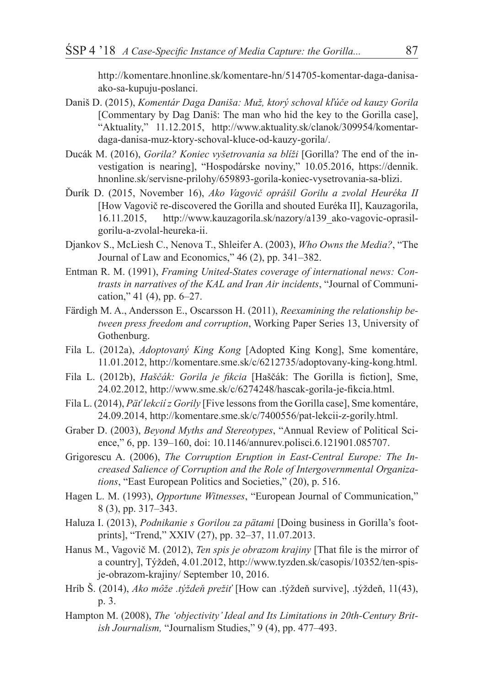http://komentare.hnonline.sk/komentare-hn/514705-komentar-daga-danisaako-sa-kupuju-poslanci.

- Daniš D. (2015), *Komentár Daga Daniša: Muž, ktorý schoval kľúče od kauzy Gorila* [Commentary by Dag Daniš: The man who hid the key to the Gorilla case], "Aktuality," 11.12.2015, http://www.aktuality.sk/clanok/309954/komentardaga-danisa-muz-ktory-schoval-kluce-od-kauzy-gorila/.
- Ducák M. (2016), *Gorila? Koniec vyšetrovania sa blíži* [Gorilla? The end of the investigation is nearing], "Hospodárske noviny," 10.05.2016, https://dennik. hnonline.sk/servisne-prilohy/659893-gorila-koniec-vysetrovania-sa-blizi.
- Ďurík D. (2015, November 16), *Ako Vagovič oprášil Gorilu a zvolal Heuréka II* [How Vagovič re-discovered the Gorilla and shouted Euréka II], Kauzagorila, 16.11.2015, http://www.kauzagorila.sk/nazory/a139\_ako-vagovic-oprasilgorilu-a-zvolal-heureka-ii.
- Djankov S., McLiesh C., Nenova T., Shleifer A. (2003), *Who Owns the Media?*, "The Journal of Law and Economics," 46 (2), pp. 341–382.
- Entman R. M. (1991), *Framing United-States coverage of international news: Contrasts in narratives of the KAL and Iran Air incidents*, "Journal of Communication," 41 (4), pp. 6–27.
- Färdigh M. A., Andersson E., Oscarsson H. (2011), *Reexamining the relationship between press freedom and corruption*, Working Paper Series 13, University of Gothenburg.
- Fila L. (2012a), *Adoptovaný King Kong* [Adopted King Kong], Sme komentáre, 11.01.2012, http://komentare.sme.sk/c/6212735/adoptovany-king-kong.html.
- Fila L. (2012b), *Haščák: Gorila je fikcia* [Haščák: The Gorilla is fiction], Sme, 24.02.2012, http://www.sme.sk/c/6274248/hascak-gorila-je-fikcia.html.
- Fila L. (2014), *Päťlekciíz Gorily* [Five lessons from the Gorilla case], Sme komentáre, 24.09.2014, http://komentare.sme.sk/c/7400556/pat-lekcii-z-gorily.html.
- Graber D. (2003), *Beyond Myths and Stereotypes*, "Annual Review of Political Science," 6, pp. 139–160, doi: 10.1146/annurev.polisci.6.121901.085707.
- Grigorescu A. (2006), *The Corruption Eruption in East-Central Europe: The Increased Salience of Corruption and the Role of Intergovernmental Organizations*, "East European Politics and Societies," (20), p. 516.
- Hagen L. M. (1993), *Opportune Witnesses*, "European Journal of Communication," 8 (3), pp. 317–343.
- Haluza I. (2013), *Podnikanie s Gorilou za pätami* [Doing business in Gorilla's footprints], "Trend," XXIV (27), pp. 32–37, 11.07.2013.
- Hanus M., Vagovič M. (2012), *Ten spis je obrazom krajiny* [That file is the mirror of a country], Týždeň, 4.01.2012, http://www.tyzden.sk/casopis/10352/ten-spisje-obrazom-krajiny/ September 10, 2016.
- Hríb Š. (2014), *Ako môže .týždeň prežiť* [How can .týždeň survive], .týždeň, 11(43), p. 3.
- Hampton M. (2008), *The 'objectivity'Ideal and Its Limitations in 20th-Century British Journalism,* "Journalism Studies," 9 (4), pp. 477–493.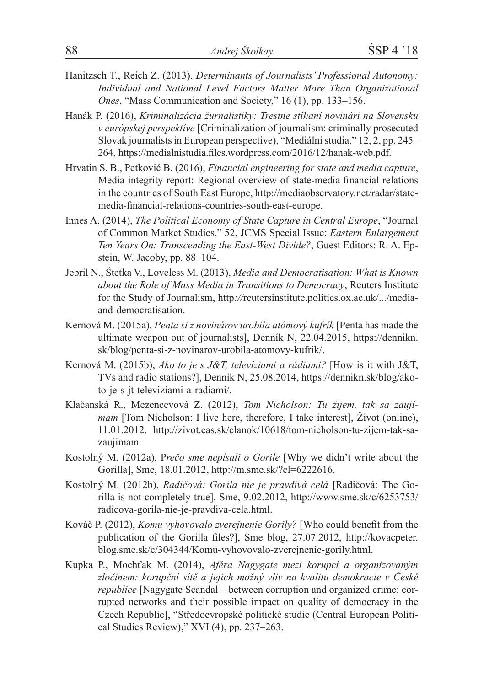- Hanitzsch T., Reich Z. (2013), *Determinants of Journalists' Professional Autonomy: Individual and National Level Factors Matter More Than Organizational Ones*, "Mass Communication and Society," 16 (1), pp. 133–156.
- Hanák P. (2016), *Kriminalizácia žurnalistiky: Trestne stíhaní novinári na Slovensku v európskej perspektíve* [Criminalization of journalism: criminally prosecuted Slovak journalists in European perspective), "Mediálni studia," 12, 2, pp. 245– 264, https://medialnistudia.files.wordpress.com/2016/12/hanak-web.pdf.
- Hrvatin S. B., Petković B. (2016), *Financial engineering for state and media capture*, Media integrity report: Regional overview of state-media financial relations in the countries of South East Europe, http://mediaobservatory.net/radar/statemedia-financial-relations-countries-south-east-europe.
- Innes A. (2014), *The Political Economy of State Capture in Central Europe*, "Journal of Common Market Studies," 52, JCMS Special Issue: *Eastern Enlargement Ten Years On: Transcending the East-West Divide?*, Guest Editors: R. A. Epstein, W. Jacoby, pp. 88–104.
- Jebril N., Štetka V., Loveless M. (2013), *Media and Democratisation: What is Known about the Role of Mass Media in Transitions to Democracy*, Reuters Institute for the Study of Journalism, http*://*reutersinstitute.politics.ox.ac.uk/.../mediaand-democratisation.
- Kernová M. (2015a), *Penta si z novinárov urobila atómový kufrík* [Penta has made the ultimate weapon out of journalists], Denník N, 22.04.2015, https://dennikn. sk/blog/penta-si-z-novinarov-urobila-atomovy-kufrik/.
- Kernová M. (2015b), *Ako to je s J&T, televíziami a rádiami?* [How is it with J&T, TVs and radio stations?], Denník N, 25.08.2014, https://dennikn.sk/blog/akoto-je-s-jt-televiziami-a-radiami/.
- Klačanská R., Mezencevová Z. (2012), *Tom Nicholson: Tu žijem, tak sa zaujímam* [Tom Nicholson: I live here, therefore, I take interest], Život (online), 11.01.2012, http://zivot.cas.sk/clanok/10618/tom-nicholson-tu-zijem-tak-sazaujimam.
- Kostolný M. (2012a), P*rečo sme nepísali o Gorile* [Why we didn't write about the Gorilla], Sme, 18.01.2012, http://m.sme.sk/?cl=6222616.
- Kostolný M. (2012b), *Radičová: Gorila nie je pravdivá celá* [Radičová: The Gorilla is not completely true], Sme, 9.02.2012, http://www.sme.sk/c/6253753/ radicova-gorila-nie-je-pravdiva-cela.html.
- Kováč P. (2012), *Komu vyhovovalo zverejnenie Gorily?* [Who could benefit from the publication of the Gorilla files?], Sme blog, 27.07.2012, http://kovacpeter. blog.sme.sk/c/304344/Komu-vyhovovalo-zverejnenie-gorily.html.
- Kupka P., Mochťak M. (2014), *Aféra Nagygate mezi korupcí a organizovaným zločinem: korupční sítě a jejich možný vliv na kvalitu demokracie v České republice* [Nagygate Scandal – between corruption and organized crime: corrupted networks and their possible impact on quality of democracy in the Czech Republic], "Středoevropské politické studie (Central European Political Studies Review)," XVI (4), pp. 237–263.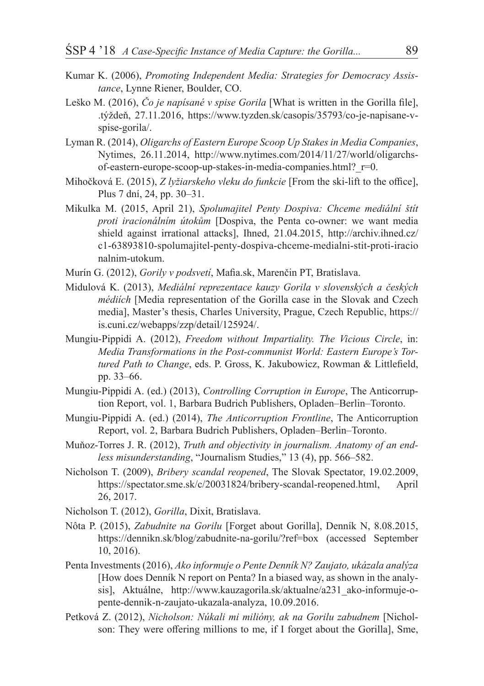- Kumar K. (2006), *Promoting Independent Media: Strategies for Democracy Assistance*, Lynne Riener, Boulder, CO.
- Leško M. (2016), *Čo je napísané v spise Gorila* [What is written in the Gorilla file], .týždeň, 27.11.2016, https://www.tyzden.sk/casopis/35793/co-je-napisane-vspise-gorila/.
- Lyman R. (2014), *Oligarchs of Eastern Europe Scoop Up Stakes in Media Companies*, Nytimes, 26.11.2014, http://www.nytimes.com/2014/11/27/world/oligarchsof-eastern-europe-scoop-up-stakes-in-media-companies.html?\_r=0.
- Mihočková E. (2015), *Z lyžiarskeho vleku do funkcie* [From the ski-lift to the office], Plus 7 dní, 24, pp. 30–31.
- Mikulka M. (2015, April 21), *Spolumajitel Penty Dospiva: Chceme mediální štít proti iracionálním útokům* [Dospiva, the Penta co-owner: we want media shield against irrational attacks], Ihned, 21.04.2015, http://archiv.ihned.cz/ c1-63893810-spolumajitel-penty-dospiva-chceme-medialni-stit-proti-iracio nalnim-utokum.
- Murín G. (2012), *Gorily v podsvetí*, Mafia.sk, Marenčin PT, Bratislava.
- Midulová K. (2013), *Mediální reprezentace kauzy Gorila v slovenských a českých médiích* [Media representation of the Gorilla case in the Slovak and Czech media], Master's thesis, Charles University, Prague, Czech Republic, https:// is.cuni.cz/webapps/zzp/detail/125924/.
- Mungiu-Pippidi A. (2012), *Freedom without Impartiality. The Vicious Circle*, in: *Media Transformations in the Post-communist World: Eastern Europe's Tortured Path to Change*, eds. P. Gross, K. Jakubowicz, Rowman & Littlefield, pp. 33–66.
- Mungiu-Pippidi A. (ed.) (2013), *Controlling Corruption in Europe*, The Anticorruption Report, vol. 1, Barbara Budrich Publishers, Opladen–Berlin–Toronto.
- Mungiu-Pippidi A. (ed.) (2014), *The Anticorruption Frontline*, The Anticorruption Report, vol. 2, Barbara Budrich Publishers, Opladen–Berlin–Toronto.
- Muňoz-Torres J. R. (2012), *Truth and objectivity in journalism. Anatomy of an endless misunderstanding*, "Journalism Studies," 13 (4), pp. 566–582.
- Nicholson T. (2009), *Bribery scandal reopened*, The Slovak Spectator, 19.02.2009, https://spectator.sme.sk/c/20031824/bribery-scandal-reopened.html, April 26, 2017.
- Nicholson T. (2012), *Gorilla*, Dixit, Bratislava.
- Nôta P. (2015), *Zabudnite na Gorilu* [Forget about Gorilla], Denník N, 8.08.2015, https://dennikn.sk/blog/zabudnite-na-gorilu/?ref=box (accessed September 10, 2016).
- Penta Investments (2016), *Ako informuje o Pente Denník N? Zaujato, ukázala analýza* [How does Denník N report on Penta? In a biased way, as shown in the analysis], Aktuálne, http://www.kauzagorila.sk/aktualne/a231\_ako-informuje-opente-dennik-n-zaujato-ukazala-analyza, 10.09.2016.
- Petková Z. (2012), *Nicholson: Núkali mi milióny, ak na Gorilu zabudnem* [Nicholson: They were offering millions to me, if I forget about the Gorilla], Sme,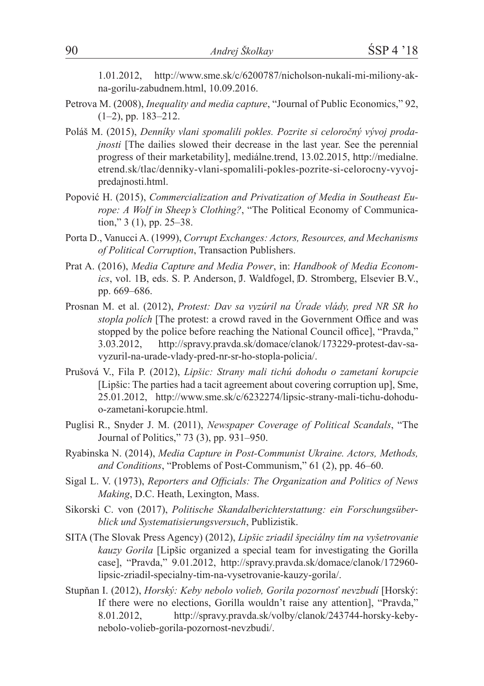1.01.2012, http://www.sme.sk/c/6200787/nicholson-nukali-mi-miliony-akna-gorilu-zabudnem.html, 10.09.2016.

- Petrova M. (2008), *Inequality and media capture*, "Journal of Public Economics," 92, (1–2), pp. 183–212.
- Poláš M. (2015), *Denníky vlani spomalili pokles. Pozrite si celoročný vývoj prodajnosti* [The dailies slowed their decrease in the last year. See the perennial progress of their marketability], mediálne.trend, 13.02.2015, http://medialne. etrend.sk/tlac/denniky-vlani-spomalili-pokles-pozrite-si-celorocny-vyvojpredajnosti.html.
- Popović H. (2015), *Commercialization and Privatization of Media in Southeast Europe: A Wolf in Sheep's Clothing?*, "The Political Economy of Communication," 3 (1), pp. 25–38.
- Porta D., Vanucci A. (1999), *Corrupt Exchanges: Actors, Resources, and Mechanisms of Political Corruption*, Transaction Publishers.
- Prat A. (2016), *Media Capture and Media Power*, in: *Handbook of Media Economics*, vol. 1B, eds. S. P. Anderson, J. Waldfogel, D. Stromberg, Elsevier B.V., pp. 669–686.
- Prosnan M. et al. (2012), *Protest: Dav sa vyzúril na Úrade vlády, pred NR SR ho stopla polích* [The protest: a crowd raved in the Government Office and was stopped by the police before reaching the National Council office], "Pravda," 3.03.2012, http://spravy.pravda.sk/domace/clanok/173229-protest-dav-savyzuril-na-urade-vlady-pred-nr-sr-ho-stopla-policia/.
- Prušová V., Fila P. (2012), *Lipšic: Strany mali tichú dohodu o zametaní korupcie* [Lipšic: The parties had a tacit agreement about covering corruption up], Sme, 25.01.2012, http://www.sme.sk/c/6232274/lipsic-strany-mali-tichu-dohoduo-zametani-korupcie.html.
- Puglisi R., Snyder J. M. (2011), *Newspaper Coverage of Political Scandals*, "The Journal of Politics," 73 (3), pp. 931–950.
- Ryabinska N. (2014), *Media Capture in Post-Communist Ukraine. Actors, Methods, and Conditions*, "Problems of Post-Communism," 61 (2), pp. 46–60.
- Sigal L. V. (1973), *Reporters and Officials: The Organization and Politics of News Making*, D.C. Heath, Lexington, Mass.
- Sikorski C. von (2017), *Politische Skandalberichterstattung: ein Forschungsüberblick und Systematisierungsversuch*, Publizistik.
- SITA (The Slovak Press Agency) (2012), *Lipšic zriadil špeciálny tím na vyšetrovanie kauzy Gorila* [Lipšic organized a special team for investigating the Gorilla case], "Pravda," 9.01.2012, http://spravy.pravda.sk/domace/clanok/172960 lipsic-zriadil-specialny-tim-na-vysetrovanie-kauzy-gorila/.
- Stupňan I. (2012), *Horský: Keby nebolo volieb, Gorila pozornosť nevzbudí* [Horský: If there were no elections, Gorilla wouldn't raise any attention], "Pravda," 8.01.2012, http://spravy.pravda.sk/volby/clanok/243744-horsky-kebynebolo-volieb-gorila-pozornost-nevzbudi/.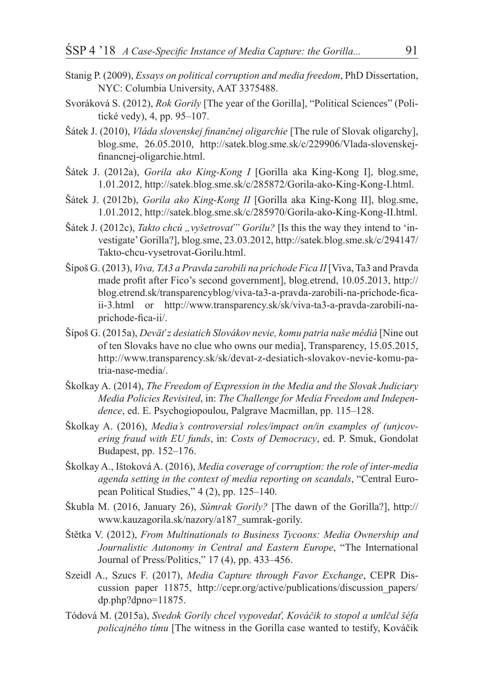- Stanig P. (2009), *Essays on political corruption and media freedom*, PhD Dissertation, NYC: Columbia University, AAT 3375488.
- Svoráková S. (2012), *Rok Gorily* [The year of the Gorilla], "Political Sciences" (Politické vedy), 4, pp. 95–107.
- Šátek J. (2010), *Vláda slovenskej finančnej oligarchie* [The rule of Slovak oligarchy], blog.sme, 26.05.2010, http://satek.blog.sme.sk/c/229906/Vlada-slovenskejfinancnej-oligarchie.html.
- Šátek J. (2012a), *Gorila ako King-Kong I* [Gorilla aka King-Kong I], blog.sme, 1.01.2012, http://satek.blog.sme.sk/c/285872/Gorila-ako-King-Kong-I.html.
- Šátek J. (2012b), *Gorila ako King-Kong II* [Gorilla aka King-Kong II], blog.sme, 1.01.2012, http://satek.blog.sme.sk/c/285970/Gorila-ako-King-Kong-II.html.
- Šátek J. (2012c), *Takto chcú* "*vyšetrovať" Gorilu?* [Is this the way they intend to 'investigate' Gorilla?], blog.sme, 23.03.2012, http://satek.blog.sme.sk/c/294147/ Takto-chcu-vysetrovat-Gorilu.html.
- Šípoš G. (2013), *Viva, TA3 a Pravda zarobili na príchode Fica II* [Viva, Ta3 and Pravda made profit after Fico's second government], blog.etrend, 10.05.2013, http:// blog.etrend.sk/transparencyblog/viva-ta3-a-pravda-zarobili-na-prichode-ficaii-3.html or http://www.transparency.sk/sk/viva-ta3-a-pravda-zarobili-naprichode-fica-ii/.
- Šípoš G. (2015a), *Deväť z desiatich Slovákov nevie, komu patria naše médiá* [Nine out of ten Slovaks have no clue who owns our media], Transparency, 15.05.2015, http://www.transparency.sk/sk/devat-z-desiatich-slovakov-nevie-komu-patria-nase-media/.
- Školkay A. (2014), *The Freedom of Expression in the Media and the Slovak Judiciary Media Policies Revisited*, in: *The Challenge for Media Freedom and Independence*, ed. E. Psychogiopoulou, Palgrave Macmillan, pp. 115–128.
- Školkay A. (2016), *Media's controversial roles/impact on/in examples of (un)covering fraud with EU funds*, in: *Costs of Democracy*, ed. P. Smuk, Gondolat Budapest, pp. 152–176.
- Školkay A., Ištoková A. (2016), *Media coverage of corruption: the role of inter-media agenda setting in the context of media reporting on scandals*, "Central European Political Studies," 4 (2), pp. 125–140.
- Škubla M. (2016, January 26), *Súmrak Gorily?* [The dawn of the Gorilla?], http:// www.kauzagorila.sk/nazory/a187\_sumrak-gorily.
- Štětka V. (2012), *From Multinationals to Business Tycoons: Media Ownership and Journalistic Autonomy in Central and Eastern Europe*, "The International Journal of Press/Politics," 17 (4), pp. 433–456.
- Szeidl A., Szucs F. (2017), *Media Capture through Favor Exchange*, CEPR Discussion paper 11875, http://cepr.org/active/publications/discussion\_papers/ dp.php?dpno=11875.
- Tódová M. (2015a), *Svedok Gorily chcel vypovedať, Kováčik to stopol a umlčal šéfa policajného tímu* [The witness in the Gorilla case wanted to testify, Kováčik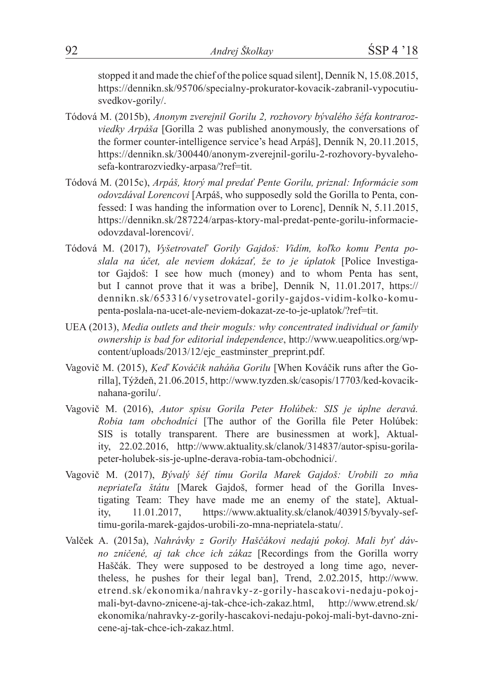stopped it and made the chief of the police squad silent], Denník N, 15.08.2015, https://dennikn.sk/95706/specialny-prokurator-kovacik-zabranil-vypocutiusvedkov-gorily/.

- Tódová M. (2015b), *Anonym zverejnil Gorilu 2, rozhovory bývalého šéfa kontrarozviedky Arpáša* [Gorilla 2 was published anonymously, the conversations of the former counter-intelligence service's head Arpáš], Denník N, 20.11.2015, https://dennikn.sk/300440/anonym-zverejnil-gorilu-2-rozhovory-byvalehosefa-kontrarozviedky-arpasa/?ref=tit.
- Tódová M. (2015c), *Arpáš, ktorý mal predať Pente Gorilu, priznal: Informácie som odovzdával Lorencovi* [Arpáš, who supposedly sold the Gorilla to Penta, confessed: I was handing the information over to Lorenc], Denník N, 5.11.2015, https://dennikn.sk/287224/arpas-ktory-mal-predat-pente-gorilu-informacieodovzdaval-lorencovi/.
- Tódová M. (2017), *Vyšetrovateľ Gorily Gajdoš: Vidím, koľko komu Penta poslala na účet, ale neviem dokázať, že to je úplatok* [Police Investigator Gajdoš: I see how much (money) and to whom Penta has sent, but I cannot prove that it was a bribe], Denník N, 11.01.2017, https:// dennikn.sk/653316/vysetrovatel-gorily-gajdos-vidim-kolko-komupenta-poslala-na-ucet-ale-neviem-dokazat-ze-to-je-uplatok/?ref=tit.
- UEA (2013), *Media outlets and their moguls: why concentrated individual or family ownership is bad for editorial independence*, http://www.ueapolitics.org/wpcontent/uploads/2013/12/ejc\_eastminster\_preprint.pdf.
- Vagovič M. (2015), *Keď Kováčik naháňa Gorilu* [When Kováčik runs after the Gorilla], Týždeň, 21.06.2015, http://www.tyzden.sk/casopis/17703/ked-kovaciknahana-gorilu/.
- Vagovič M. (2016), *Autor spisu Gorila Peter Holúbek: SIS je úplne deravá. Robia tam obchodníci* [The author of the Gorilla file Peter Holúbek: SIS is totally transparent. There are businessmen at work], Aktuality, 22.02.2016, http://www.aktuality.sk/clanok/314837/autor-spisu-gorilapeter-holubek-sis-je-uplne-derava-robia-tam-obchodnici/.
- Vagovič M. (2017), *Bývalý šéf tímu Gorila Marek Gajdoš: Urobili zo mňa nepriateľa štátu* [Marek Gajdoš, former head of the Gorilla Investigating Team: They have made me an enemy of the state], Aktuality, 11.01.2017, https://www.aktuality.sk/clanok/403915/byvaly-seftimu-gorila-marek-gajdos-urobili-zo-mna-nepriatela-statu/.
- Valček A. (2015a), *Nahrávky z Gorily Haščákovi nedajú pokoj. Mali byť dávno zničené, aj tak chce ich zákaz* [Recordings from the Gorilla worry Haščák. They were supposed to be destroyed a long time ago, nevertheless, he pushes for their legal ban], Trend, 2.02.2015, http://www. etrend.sk/ekonomika/nahravky-z-gorily-hascakovi-nedaju-pokojmali-byt-davno-znicene-aj-tak-chce-ich-zakaz.html, http://www.etrend.sk/ ekonomika/nahravky-z-gorily-hascakovi-nedaju-pokoj-mali-byt-davno-znicene-aj-tak-chce-ich-zakaz.html.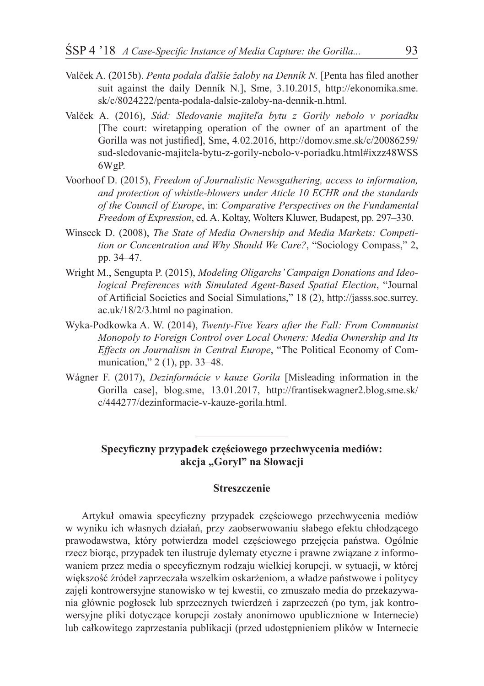- Valček A. (2015b). *Penta podala ďalšie žaloby na Denník N.* [Penta has filed another suit against the daily Denník N.], Sme, 3.10.2015, http://ekonomika.sme. sk/c/8024222/penta-podala-dalsie-zaloby-na-dennik-n.html.
- Valček A. (2016), *Súd: Sledovanie majiteľa bytu z Gorily nebolo v poriadku* [The court: wiretapping operation of the owner of an apartment of the Gorilla was not justified], Sme, 4.02.2016, http://domov.sme.sk/c/20086259/ sud-sledovanie-majitela-bytu-z-gorily-nebolo-v-poriadku.html#ixzz48WSS 6WgP.
- Voorhoof D. (2015), *Freedom of Journalistic Newsgathering, access to information, and protection of whistle-blowers under Aticle 10 ECHR and the standards of the Council of Europe*, in: *Comparative Perspectives on the Fundamental Freedom of Expression*, ed. A. Koltay, Wolters Kluwer, Budapest, pp. 297–330.
- Winseck D. (2008), *The State of Media Ownership and Media Markets: Competition or Concentration and Why Should We Care?*, "Sociology Compass," 2, pp. 34–47.
- Wright M., Sengupta P. (2015), *Modeling Oligarchs'Campaign Donations and Ideological Preferences with Simulated Agent-Based Spatial Election*, "Journal of Artificial Societies and Social Simulations," 18 (2), http://jasss.soc.surrey. ac.uk/18/2/3.html no pagination.
- Wyka-Podkowka A. W. (2014), *Twenty-Five Years after the Fall: From Communist Monopoly to Foreign Control over Local Owners: Media Ownership and Its Effects on Journalism in Central Europe*, "The Political Economy of Communication," 2 (1), pp. 33–48.
- Wágner F. (2017), *Dezinformácie v kauze Gorila* [Misleading information in the Gorilla case], blog.sme, 13.01.2017, http://frantisekwagner2.blog.sme.sk/ c/444277/dezinformacie-v-kauze-gorila.html.

#### **Specyficzny przypadek częściowego przechwycenia mediów: akcja "Goryl" na Słowacji**

#### **Streszczenie**

Artykuł omawia specyficzny przypadek częściowego przechwycenia mediów w wyniku ich własnych działań, przy zaobserwowaniu słabego efektu chłodzącego prawodawstwa, który potwierdza model częściowego przejęcia państwa. Ogólnie rzecz biorąc, przypadek ten ilustruje dylematy etyczne i prawne związane z informowaniem przez media o specyficznym rodzaju wielkiej korupcji, w sytuacji, w której większość źródeł zaprzeczała wszelkim oskarżeniom, a władze państwowe i politycy zajęli kontrowersyjne stanowisko w tej kwestii, co zmuszało media do przekazywania głównie pogłosek lub sprzecznych twierdzeń i zaprzeczeń (po tym, jak kontrowersyjne pliki dotyczące korupcji zostały anonimowo upublicznione w Internecie) lub całkowitego zaprzestania publikacji (przed udostępnieniem plików w Internecie